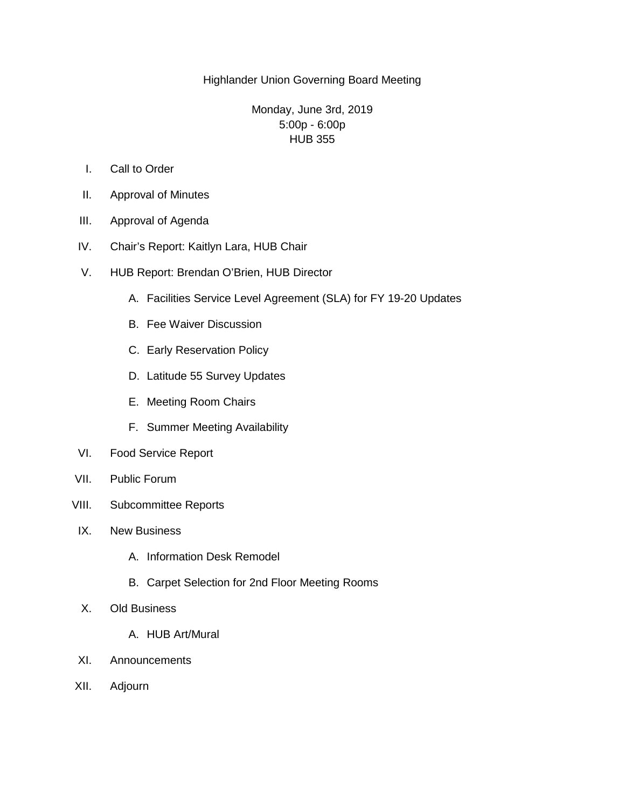## Highlander Union Governing Board Meeting

## Monday, June 3rd, 2019 5:00p - 6:00p HUB 355

- I. Call to Order
- II. Approval of Minutes
- III. Approval of Agenda
- IV. Chair's Report: Kaitlyn Lara, HUB Chair
- V. HUB Report: Brendan O'Brien, HUB Director
	- A. Facilities Service Level Agreement (SLA) for FY 19-20 Updates
	- B. Fee Waiver Discussion
	- C. Early Reservation Policy
	- D. Latitude 55 Survey Updates
	- E. Meeting Room Chairs
	- F. Summer Meeting Availability
- VI. Food Service Report
- VII. Public Forum
- VIII. Subcommittee Reports
- IX. New Business
	- A. Information Desk Remodel
	- B. Carpet Selection for 2nd Floor Meeting Rooms
- X. Old Business
	- A. HUB Art/Mural
- XI. Announcements
- XII. Adjourn